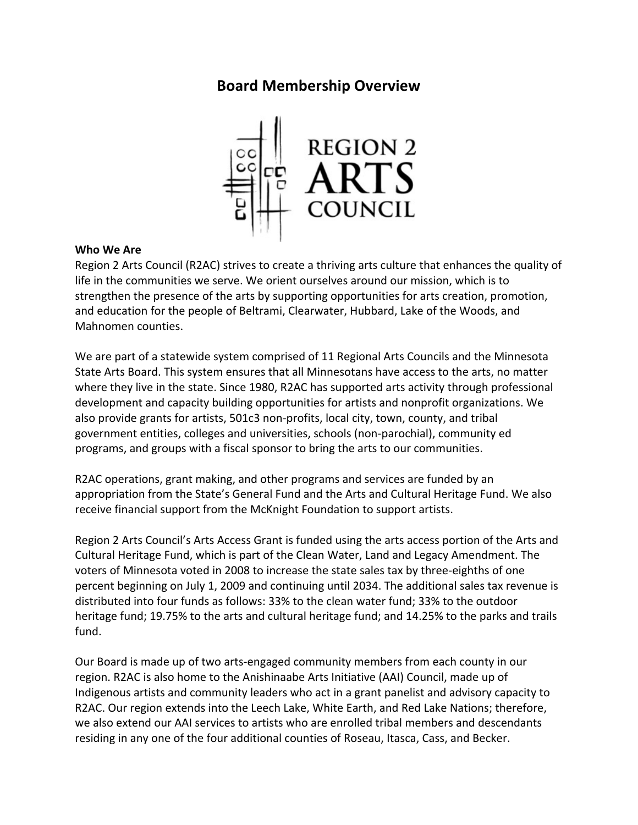# **Board Membership Overview**



### **Who We Are**

Region 2 Arts Council (R2AC) strives to create a thriving arts culture that enhances the quality of life in the communities we serve. We orient ourselves around our mission, which is to strengthen the presence of the arts by supporting opportunities for arts creation, promotion, and education for the people of Beltrami, Clearwater, Hubbard, Lake of the Woods, and Mahnomen counties.

We are part of a statewide system comprised of 11 Regional Arts Councils and the Minnesota State Arts Board. This system ensures that all Minnesotans have access to the arts, no matter where they live in the state. Since 1980, R2AC has supported arts activity through professional development and capacity building opportunities for artists and nonprofit organizations. We also provide grants for artists, 501c3 non-profits, local city, town, county, and tribal government entities, colleges and universities, schools (non-parochial), community ed programs, and groups with a fiscal sponsor to bring the arts to our communities.

R2AC operations, grant making, and other programs and services are funded by an appropriation from the State's General Fund and the Arts and Cultural Heritage Fund. We also receive financial support from the McKnight Foundation to support artists.

Region 2 Arts Council's Arts Access Grant is funded using the arts access portion of the Arts and Cultural Heritage Fund, which is part of the Clean Water, Land and Legacy Amendment. The voters of Minnesota voted in 2008 to increase the state sales tax by three-eighths of one percent beginning on July 1, 2009 and continuing until 2034. The additional sales tax revenue is distributed into four funds as follows: 33% to the clean water fund; 33% to the outdoor heritage fund; 19.75% to the arts and cultural heritage fund; and 14.25% to the parks and trails fund.

Our Board is made up of two arts-engaged community members from each county in our region. R2AC is also home to the Anishinaabe Arts Initiative (AAI) Council, made up of Indigenous artists and community leaders who act in a grant panelist and advisory capacity to R2AC. Our region extends into the Leech Lake, White Earth, and Red Lake Nations; therefore, we also extend our AAI services to artists who are enrolled tribal members and descendants residing in any one of the four additional counties of Roseau, Itasca, Cass, and Becker.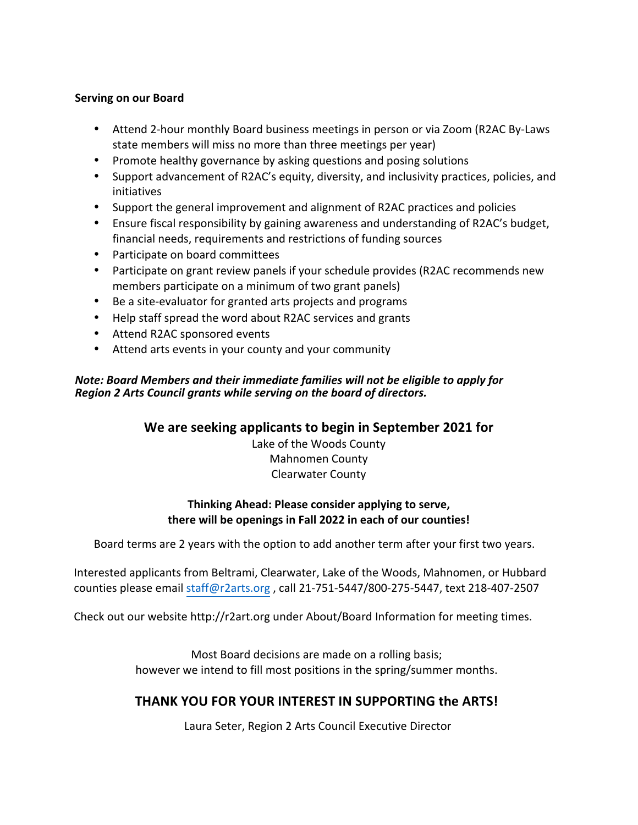### **Serving on our Board**

- Attend 2-hour monthly Board business meetings in person or via Zoom (R2AC By-Laws state members will miss no more than three meetings per year)
- Promote healthy governance by asking questions and posing solutions
- Support advancement of R2AC's equity, diversity, and inclusivity practices, policies, and initiatives
- Support the general improvement and alignment of R2AC practices and policies
- Ensure fiscal responsibility by gaining awareness and understanding of R2AC's budget, financial needs, requirements and restrictions of funding sources
- Participate on board committees
- Participate on grant review panels if your schedule provides (R2AC recommends new members participate on a minimum of two grant panels)
- Be a site-evaluator for granted arts projects and programs
- Help staff spread the word about R2AC services and grants
- Attend R2AC sponsored events
- Attend arts events in your county and your community

## *Note: Board Members and their immediate families will not be eligible to apply for Region 2 Arts Council grants while serving on the board of directors.*

## We are seeking applicants to begin in September 2021 for

Lake of the Woods County Mahnomen County Clearwater County

## **Thinking Ahead: Please consider applying to serve,** there will be openings in Fall 2022 in each of our counties!

Board terms are 2 years with the option to add another term after your first two years.

Interested applicants from Beltrami, Clearwater, Lake of the Woods, Mahnomen, or Hubbard counties please email staff@r2arts.org, call 21-751-5447/800-275-5447, text 218-407-2507

Check out our website http://r2art.org under About/Board Information for meeting times.

Most Board decisions are made on a rolling basis; however we intend to fill most positions in the spring/summer months.

# **THANK YOU FOR YOUR INTEREST IN SUPPORTING the ARTS!**

Laura Seter, Region 2 Arts Council Executive Director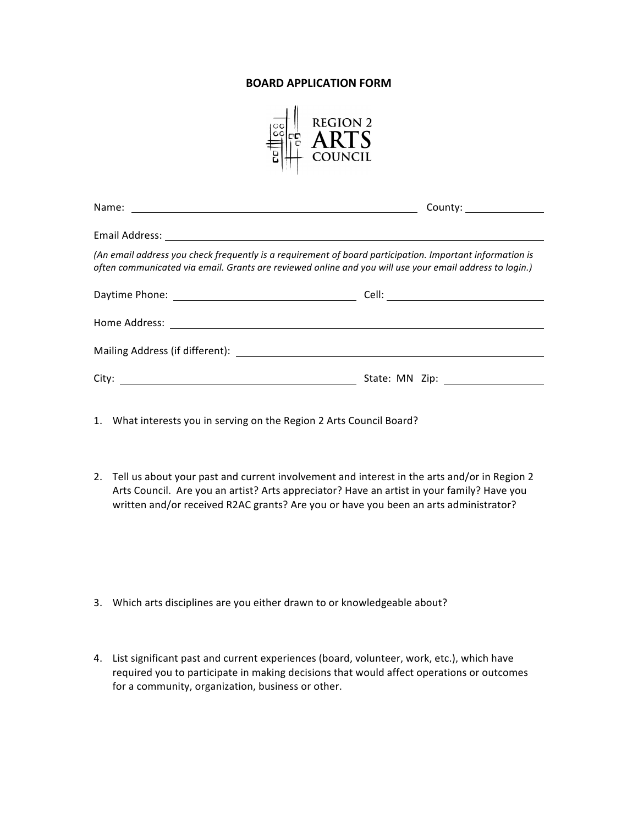#### **BOARD APPLICATION FORM**



| County: ________________                                                                                                                                                                                            |
|---------------------------------------------------------------------------------------------------------------------------------------------------------------------------------------------------------------------|
|                                                                                                                                                                                                                     |
| (An email address you check frequently is a requirement of board participation. Important information is<br>often communicated via email. Grants are reviewed online and you will use your email address to login.) |
|                                                                                                                                                                                                                     |
|                                                                                                                                                                                                                     |
|                                                                                                                                                                                                                     |
|                                                                                                                                                                                                                     |
|                                                                                                                                                                                                                     |

1. What interests you in serving on the Region 2 Arts Council Board?

2. Tell us about your past and current involvement and interest in the arts and/or in Region 2 Arts Council. Are you an artist? Arts appreciator? Have an artist in your family? Have you written and/or received R2AC grants? Are you or have you been an arts administrator?

- 3. Which arts disciplines are you either drawn to or knowledgeable about?
- 4. List significant past and current experiences (board, volunteer, work, etc.), which have required you to participate in making decisions that would affect operations or outcomes for a community, organization, business or other.